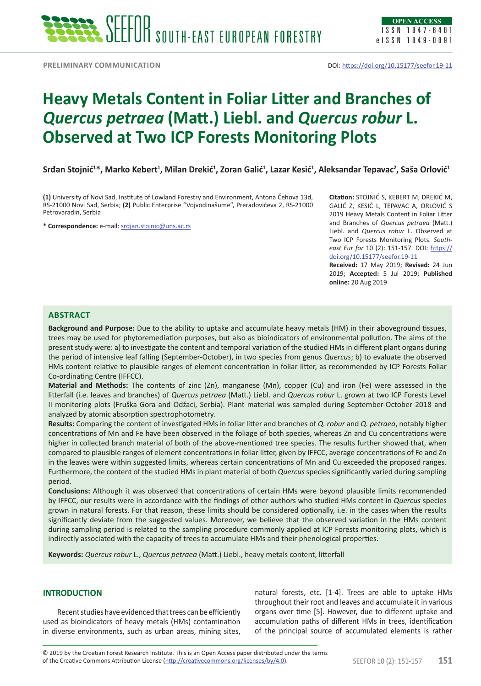# **Heavy Metals Content in Foliar Litter and Branches of**  *Quercus petraea* **(Matt.) Liebl. and** *Quercus robur* **L. Observed at Two ICP Forests Monitoring Plots**

**Srđan Stojnić<sup>1</sup> \*, Marko Kebert<sup>1</sup> , Milan Drekić<sup>1</sup> , Zoran Galić<sup>1</sup> , Lazar Kesić<sup>1</sup> , Aleksandar Tepavac2 , Saša Orlović<sup>1</sup>**

**(1)** University of Novi Sad, Institute of Lowland Forestry and Environment, Antona Čehova 13d, RS-21000 Novi Sad, Serbia; **(2)** Public Enterprise "Vojvodinašume", Preradovićeva 2, RS-21000 Petrovaradin, Serbia

\* **Correspondence:** e-mail: [srdjan.stojnic@uns.ac.rs](mailto:srdjan.stojnic@uns.ac.rs)

**Citation:** STOJNIĆ S, KEBERT M, DREKIĆ M, GALIĆ Z, KESIĆ L, TEPAVAC A, ORLOVIĆ S 2019 Heavy Metals Content in Foliar Litter and Branches of *Quercus petraea* (Matt.) Liebl. and *Quercus robur* L. Observed at Two ICP Forests Monitoring Plots. *Southeast Eur for* 10 (2): 151-157. DOI: [https://](https://doi.org/10.15177/seefor.19-11) [doi.org/10.15177/seefor.19-11](https://doi.org/10.15177/seefor.19-11) **Received:** 17 May 2019; **Revised:** 24 Jun

2019; **Accepted:** 5 Jul 2019; **Published online:** 20 Aug 2019

## **Abstract**

**Background and Purpose:** Due to the ability to uptake and accumulate heavy metals (HM) in their aboveground tissues, trees may be used for phytoremediation purposes, but also as bioindicators of environmental pollution. The aims of the present study were: a) to investigate the content and temporal variation of the studied HMs in different plant organs during the period of intensive leaf falling (September-October), in two species from genus *Quercus*; b) to evaluate the observed HMs content relative to plausible ranges of element concentration in foliar litter, as recommended by ICP Forests Foliar Co-ordinating Centre (IFFCC).

**Material and Methods:** The contents of zinc (Zn), manganese (Mn), copper (Cu) and iron (Fe) were assessed in the litterfall (i.e. leaves and branches) of *Quercus petraea* (Matt.) Liebl. and *Quercus robur* L. grown at two ICP Forests Level II monitoring plots (Fruška Gora and Odžaci, Serbia). Plant material was sampled during September-October 2018 and analyzed by atomic absorption spectrophotometry.

**Results:** Comparing the content of investigated HMs in foliar litter and branches of *Q. robur* and *Q. petraea*, notably higher concentrations of Mn and Fe have been observed in the foliage of both species, whereas Zn and Cu concentrations were higher in collected branch material of both of the above-mentioned tree species. The results further showed that, when compared to plausible ranges of element concentrations in foliar litter, given by IFFCC, average concentrations of Fe and Zn in the leaves were within suggested limits, whereas certain concentrations of Mn and Cu exceeded the proposed ranges. Furthermore, the content of the studied HMs in plant material of both *Quercus* species significantly varied during sampling period.

**Conclusions:** Although it was observed that concentrations of certain HMs were beyond plausible limits recommended by IFFCC, our results were in accordance with the findings of other authors who studied HMs content in *Quercus* species grown in natural forests. For that reason, these limits should be considered optionally, i.e. in the cases when the results significantly deviate from the suggested values. Moreover, we believe that the observed variation in the HMs content during sampling period is related to the sampling procedure commonly applied at ICP Forests monitoring plots, which is indirectly associated with the capacity of trees to accumulate HMs and their phenological properties.

**Keywords:** *Quercus robur* L., *Quercus petraea* (Matt.) Liebl., heavy metals content, litterfall

## **INTRODUCTION**

Recent studies have evidenced that trees can be efficiently used as bioindicators of heavy metals (HMs) contamination in diverse environments, such as urban areas, mining sites,

natural forests, etc. [1-4]. Trees are able to uptake HMs throughout their root and leaves and accumulate it in various organs over time [5]. However, due to different uptake and accumulation paths of different HMs in trees, identification of the principal source of accumulated elements is rather

of the Creative Commons Attribution License (<http://creativecommons.org/licenses/by/4.0>). SEEFOR 10 (2): 151-157 **151** © 2019 by the Croatian Forest Research Institute. This is an Open Access paper distributed under the terms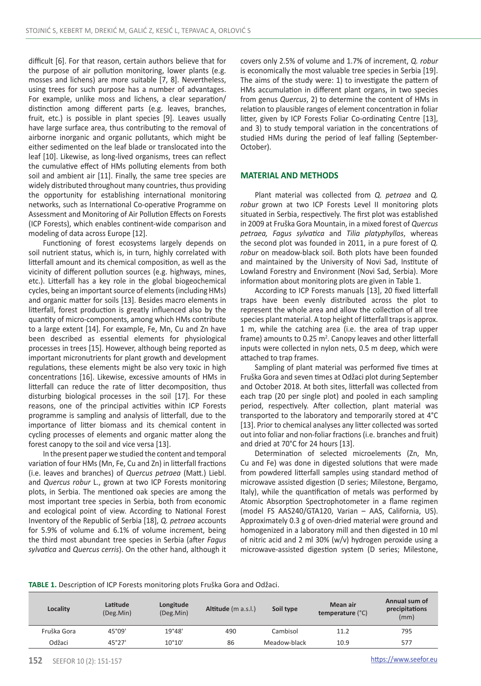difficult [6]. For that reason, certain authors believe that for the purpose of air pollution monitoring, lower plants (e.g. mosses and lichens) are more suitable [7, 8]. Nevertheless, using trees for such purpose has a number of advantages. For example, unlike moss and lichens, a clear separation/ distinction among different parts (e.g. leaves, branches, fruit, etc.) is possible in plant species [9]. Leaves usually have large surface area, thus contributing to the removal of airborne inorganic and organic pollutants, which might be either sedimented on the leaf blade or translocated into the leaf [10]. Likewise, as long-lived organisms, trees can reflect the cumulative effect of HMs polluting elements from both soil and ambient air [11]. Finally, the same tree species are widely distributed throughout many countries, thus providing the opportunity for establishing international monitoring networks, such as International Co-operative Programme on Assessment and Monitoring of Air Pollution Effects on Forests (ICP Forests), which enables continent-wide comparison and modeling of data across Europe [12].

Functioning of forest ecosystems largely depends on soil nutrient status, which is, in turn, highly correlated with litterfall amount and its chemical composition, as well as the vicinity of different pollution sources (e.g. highways, mines, etc.). Litterfall has a key role in the global biogeochemical cycles, being an important source of elements (including HMs) and organic matter for soils [13]. Besides macro elements in litterfall, forest production is greatly influenced also by the quantity of micro-components, among which HMs contribute to a large extent [14]. For example, Fe, Mn, Cu and Zn have been described as essential elements for physiological processes in trees [15]. However, although being reported as important micronutrients for plant growth and development regulations, these elements might be also very toxic in high concentrations [16]. Likewise, excessive amounts of HMs in litterfall can reduce the rate of litter decomposition, thus disturbing biological processes in the soil [17]. For these reasons, one of the principal activities within ICP Forests programme is sampling and analysis of litterfall, due to the importance of litter biomass and its chemical content in cycling processes of elements and organic matter along the forest canopy to the soil and vice versa [13].

In the present paper we studied the content and temporal variation of four HMs (Mn, Fe, Cu and Zn) in litterfall fractions (i.e. leaves and branches) of *Quercus petraea* (Matt.) Liebl. and *Quercus robur* L., grown at two ICP Forests monitoring plots, in Serbia. The mentioned oak species are among the most important tree species in Serbia, both from economic and ecological point of view. According to National Forest Inventory of the Republic of Serbia [18], *Q. petraea* accounts for 5.9% of volume and 6.1% of volume increment, being the third most abundant tree species in Serbia (after *Fagus sylvatica* and *Quercus cerris*). On the other hand, although it covers only 2.5% of volume and 1.7% of increment, *Q. robur* is economically the most valuable tree species in Serbia [19]. The aims of the study were: 1) to investigate the pattern of HMs accumulation in different plant organs, in two species from genus *Quercus*, 2) to determine the content of HMs in relation to plausible ranges of element concentration in foliar litter, given by ICP Forests Foliar Co-ordinating Centre [13], and 3) to study temporal variation in the concentrations of studied HMs during the period of leaf falling (September-October).

## **MATERIAL AND METHODS**

Plant material was collected from *Q. petraea* and *Q. robur* grown at two ICP Forests Level II monitoring plots situated in Serbia, respectively. The first plot was established in 2009 at Fruška Gora Mountain, in a mixed forest of *Quercus petraea, Fagus sylvatica* and *Tilia platyphyllos*, whereas the second plot was founded in 2011, in a pure forest of *Q. robur* on meadow-black soil. Both plots have been founded and maintained by the University of Novi Sad, Institute of Lowland Forestry and Environment (Novi Sad, Serbia). More information about monitoring plots are given in Table 1.

According to ICP Forests manuals [13], 20 fixed litterfall traps have been evenly distributed across the plot to represent the whole area and allow the collection of all tree species plant material. A top height of litterfall traps is approx. 1 m, while the catching area (i.e. the area of trap upper frame) amounts to 0.25  $m^2$ . Canopy leaves and other litterfall inputs were collected in nylon nets, 0.5 m deep, which were attached to trap frames.

Sampling of plant material was performed five times at Fruška Gora and seven times at Odžaci plot during September and October 2018. At both sites, litterfall was collected from each trap (20 per single plot) and pooled in each sampling period, respectively. After collection, plant material was transported to the laboratory and temporarily stored at 4°C [13]. Prior to chemical analyses any litter collected was sorted out into foliar and non-foliar fractions (i.e. branches and fruit) and dried at 70°C for 24 hours [13].

Determination of selected microelements (Zn, Mn, Cu and Fe) was done in digested solutions that were made from powdered litterfall samples using standard method of microwave assisted digestion (D series; Milestone, Bergamo, Italy), while the quantification of metals was performed by Atomic Absorption Spectrophotometer in a flame regimen (model FS AAS240/GTA120, Varian – AAS, California, US). Approximately 0.3 g of oven-dried material were ground and homogenized in a laboratory mill and then digested in 10 ml of nitric acid and 2 ml 30% (w/v) hydrogen peroxide using a microwave-assisted digestion system (D series; Milestone,

|  | TABLE 1. Description of ICP Forests monitoring plots Fruška Gora and Odžaci. |
|--|------------------------------------------------------------------------------|
|--|------------------------------------------------------------------------------|

| Locality    | Latitude<br>(Deg.Min) | Longitude<br>(Deg.Min) | Altitude (m a.s.l.) | Soil type    | Mean air<br>temperature (°C) | Annual sum of<br>precipitations<br>(mm) |
|-------------|-----------------------|------------------------|---------------------|--------------|------------------------------|-----------------------------------------|
| Fruška Gora | 45°09'                | 19°48'                 | 490                 | Cambisol     | 11.2                         | 795                                     |
| Odžaci      | 45°27'                | $10^{\circ}10'$        | 86                  | Meadow-black | 10.9                         | 577                                     |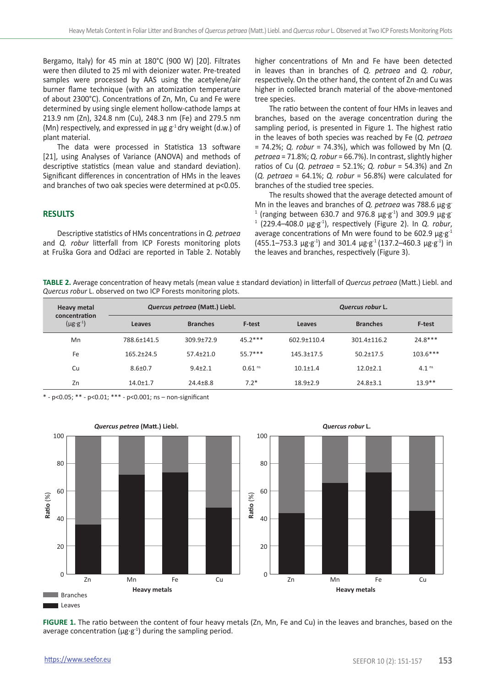Bergamo, Italy) for 45 min at 180°C (900 W) [20]. Filtrates were then diluted to 25 ml with deionizer water. Pre-treated samples were processed by AAS using the acetylene/air burner flame technique (with an atomization temperature of about 2300°C). Concentrations of Zn, Mn, Cu and Fe were determined by using single element hollow-cathode lamps at 213.9 nm (Zn), 324.8 nm (Cu), 248.3 nm (Fe) and 279.5 nm (Mn) respectively, and expressed in  $\mu$ g g<sup>-1</sup> dry weight (d.w.) of plant material.

The data were processed in Statistica 13 software [21], using Analyses of Variance (ANOVA) and methods of descriptive statistics (mean value and standard deviation). Significant differences in concentration of HMs in the leaves and branches of two oak species were determined at p<0.05.

# **RESULTS**

Descriptive statistics of HMs concentrations in *Q. petraea* and *Q. robur* litterfall from ICP Forests monitoring plots at Fruška Gora and Odžaci are reported in Table 2. Notably higher concentrations of Mn and Fe have been detected in leaves than in branches of *Q. petraea* and *Q. robur*, respectively. On the other hand, the content of Zn and Cu was higher in collected branch material of the above-mentoned tree species.

The ratio between the content of four HMs in leaves and branches, based on the average concentration during the sampling period, is presented in Figure 1. The highest ratio in the leaves of both species was reached by Fe (*Q. petraea*  = 74.2%; *Q. robur* = 74.3%), which was followed by Mn (*Q. petraea* = 71.8%; *Q. robur* = 66.7%). In contrast, slightly higher ratios of Cu (*Q. petraea* = 52.1%; *Q. robur* = 54.3%) and Zn (*Q. petraea* = 64.1%; *Q. robur* = 56.8%) were calculated for branches of the studied tree species.

The results showed that the average detected amount of Mn in the leaves and branches of *Q. petraea* was 788.6 µg·g-<sup>1</sup> (ranging between 630.7 and 976.8  $\mu$ g·g<sup>-1</sup>) and 309.9  $\mu$ g·g 1 (229.4–408.0 µg·g-1), respectively (Figure 2). In *Q. robur*, average concentrations of Mn were found to be 602.9  $\mu$ g·g<sup>-1</sup>  $(455.1 - 753.3 \text{ µg·g}^{-1})$  and 301.4  $\mu$ g·g<sup>-1</sup> (137.2-460.3  $\mu$ g·g<sup>-1</sup>) in the leaves and branches, respectively (Figure 3).

**TABLE 2.** Average concentration of heavy metals (mean value ± standard deviation) in litterfall of *Quercus petraea* (Matt.) Liebl. and *Quercus robur* L. observed on two ICP Forests monitoring plots.

| <b>Heavy metal</b><br>concentration<br>$(\mu g \cdot g^{-1})$ | Quercus petraea (Matt.) Liebl. |                 |                      | Quercus robur L. |                 |                   |
|---------------------------------------------------------------|--------------------------------|-----------------|----------------------|------------------|-----------------|-------------------|
|                                                               | Leaves                         | <b>Branches</b> | F-test               | Leaves           | <b>Branches</b> | F-test            |
| Mn                                                            | 788.6+141.5                    | $309.9 + 72.9$  | $45.2***$            | 602.9+110.4      | $301.4 + 116.2$ | $24.8***$         |
| Fe                                                            | $165.2 + 24.5$                 | $57.4 + 21.0$   | $55.7***$            | $145.3 + 17.5$   | $50.2 + 17.5$   | $103.6***$        |
| Cu                                                            | $8.6 + 0.7$                    | $9.4 + 2.1$     | $0.61$ <sup>ns</sup> | $10.1 \pm 1.4$   | $12.0 + 2.1$    | 4.1 <sup>ns</sup> |
| Zn                                                            | $14.0 \pm 1.7$                 | $24.4 + 8.8$    | $7.2*$               | $18.9 + 2.9$     | $24.8 \pm 3.1$  | $13.9**$          |

\* - p<0.05; \*\* - p<0.01; \*\*\* - p<0.001; ns – non-significant



**FIGURE 1.** The ratio between the content of four heavy metals (Zn, Mn, Fe and Cu) in the leaves and branches, based on the average concentration ( $\mu$ g·g<sup>-1</sup>) during the sampling period.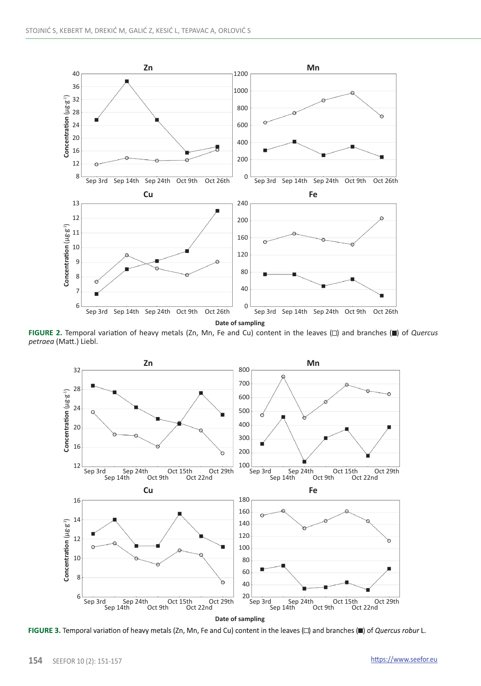

**FIGURE 2.** Temporal variation of heavy metals (Zn, Mn, Fe and Cu) content in the leaves ( $\square$ ) and branches ( $\square$ ) of *Quercus petraea* (Matt.) Liebl.



FIGURE 3. Temporal variation of heavy metals (Zn, Mn, Fe and Cu) content in the leaves ( $\Box$ ) and branches ( $\Box$ ) of Quercus robur L.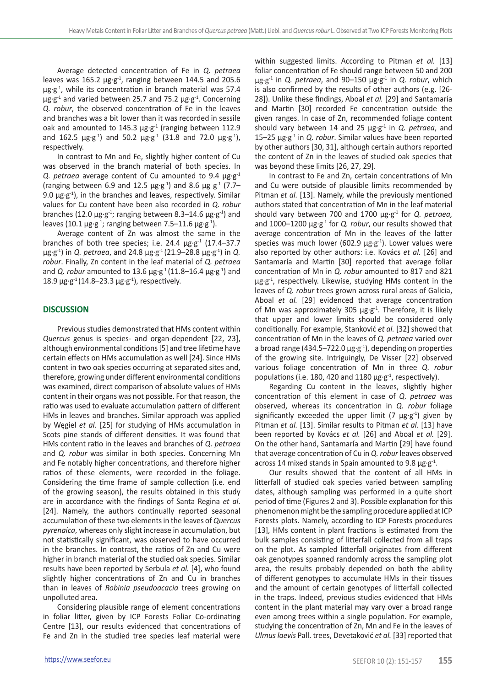Average detected concentration of Fe in *Q. petraea* leaves was 165.2  $\mu$ g·g<sup>-1</sup>, ranging between 144.5 and 205.6  $\mu$ g·g<sup>-1</sup>, while its concentration in branch material was 57.4  $\mu$ g·g<sup>-1</sup> and varied between 25.7 and 75.2  $\mu$ g·g<sup>-1</sup>. Concerning *Q. robur*, the observed concentration of Fe in the leaves and branches was a bit lower than it was recorded in sessile oak and amounted to 145.3  $\mu$ g·g<sup>-1</sup> (ranging between 112.9 and 162.5  $\mu$ g·g<sup>-1</sup>) and 50.2  $\mu$ g·g<sup>-1</sup> (31.8 and 72.0  $\mu$ g·g<sup>-1</sup>), respectively.

In contrast to Mn and Fe, slightly higher content of Cu was observed in the branch material of both species. In *Q. petraea* average content of Cu amounted to 9.4 µg·g-1 (ranging between 6.9 and 12.5  $\mu$ g·g<sup>-1</sup>) and 8.6  $\mu$ g g<sup>-1</sup> (7.7– 9.0  $\mu$ g·g<sup>-1</sup>), in the branches and leaves, respectively. Similar values for Cu content have been also recorded in *Q. robur*  branches (12.0  $\mu$ g·g<sup>-1</sup>; ranging between 8.3–14.6  $\mu$ g·g<sup>-1</sup>) and leaves (10.1  $\mu$ g·g<sup>-1</sup>; ranging between 7.5–11.6  $\mu$ g·g<sup>-1</sup>).

Average content of Zn was almost the same in the branches of both tree species; i.e. 24.4  $\mu$ g·g<sup>-1</sup> (17.4–37.7 µg·g-1) in *Q. petraea*, and 24.8 µg·g-1 (21.9–28.8 µg·g-1) in *Q. robur*. Finally, Zn content in the leaf material of *Q. petraea*  and *Q. robur* amounted to 13.6  $\mu$ g·g<sup>-1</sup> (11.8–16.4  $\mu$ g·g<sup>-1</sup>) and 18.9  $\mu$ g·g<sup>-1</sup> (14.8–23.3  $\mu$ g·g<sup>-1</sup>), respectively.

## **DISCUSSION**

Previous studies demonstrated that HMs content within *Quercus* genus is species- and organ-dependent [22, 23], although environmental conditions [5] and tree lifetime have certain effects on HMs accumulation as well [24]. Since HMs content in two oak species occurring at separated sites and, therefore, growing under different environmental conditions was examined, direct comparison of absolute values of HMs content in their organs was not possible. For that reason, the ratio was used to evaluate accumulation pattern of different HMs in leaves and branches. Similar approach was applied by Węgiel *et al.* [25] for studying of HMs accumulation in Scots pine stands of different densities. It was found that HMs content ratio in the leaves and branches of *Q. petraea*  and *Q. robur* was similar in both species. Concerning Mn and Fe notably higher concentrations, and therefore higher ratios of these elements, were recorded in the foliage. Considering the time frame of sample collection (i.e. end of the growing season), the results obtained in this study are in accordance with the findings of Santa Regina *et al.* [24]. Namely, the authors continually reported seasonal accumulation of these two elements in the leaves of *Quercus pyrenaica*, whereas only slight increase in accumulation, but not statistically significant, was observed to have occurred in the branches. In contrast, the ratios of Zn and Cu were higher in branch material of the studied oak species. Similar results have been reported by Serbula *et al.* [4], who found slightly higher concentrations of Zn and Cu in branches than in leaves of *Robinia pseudoacacia* trees growing on unpolluted area.

Considering plausible range of element concentrations in foliar litter, given by ICP Forests Foliar Co-ordinating Centre [13], our results evidenced that concentrations of Fe and Zn in the studied tree species leaf material were within suggested limits. According to Pitman *et al.* [13] foliar concentration of Fe should range between 50 and 200 µg·g-1 in *Q. petraea*, and 90–150 µg·g-1 in *Q. robur*, which is also confirmed by the results of other authors (e.g. [26- 28]). Unlike these findings, Aboal *et al.* [29] and Santamaría and Martin [30] recorded Fe concentration outside the given ranges. In case of Zn, recommended foliage content should vary between 14 and 25 µg·g-1 in *Q. petraea*, and 15–25 µg·g-1 in *Q. robur*. Similar values have been reported by other authors [30, 31], although certain authors reported the content of Zn in the leaves of studied oak species that was beyond these limits [26, 27, 29].

In contrast to Fe and Zn, certain concentrations of Mn and Cu were outside of plausible limits recommended by Pitman *et al.* [13]. Namely, while the previously mentioned authors stated that concentration of Mn in the leaf material should vary between 700 and 1700 µg·g-1 for *Q. petraea,*  and 1000–1200 µg·g-1 for *Q. robur*, our results showed that average concentration of Mn in the leaves of the latter species was much lower (602.9  $\mu$ g·g<sup>-1</sup>). Lower values were also reported by other authors: i.e. Kovács *et al.* [26] and Santamaría and Martin [30] reported that average foliar concentration of Mn in *Q. robur* amounted to 817 and 821  $\mu$ g·g<sup>-1</sup>, respectively. Likewise, studying HMs content in the leaves of *Q. robur* trees grown across rural areas of Galicia, Aboal *et al.* [29] evidenced that average concentration of Mn was approximately 305  $\mu$ g·g<sup>-1</sup>. Therefore, it is likely that upper and lower limits should be considered only conditionally. For example, Stanković *et al.* [32] showed that concentration of Mn in the leaves of *Q. petraea* varied over a broad range (434.5–722.0  $\mu$ g·g<sup>-1</sup>), depending on properties of the growing site. Intriguingly, De Visser [22] observed various foliage concentration of Mn in three *Q. robur* populations (i.e. 180, 420 and 1180  $\mu$ g-g<sup>-1</sup>, respectively).

Regarding Cu content in the leaves, slightly higher concentration of this element in case of *Q. petraea* was observed, whereas its concentration in *Q. robur* foliage significantly exceeded the upper limit (7  $\mu$ g·g<sup>-1</sup>) given by Pitman *et al.* [13]. Similar results to Pitman *et al.* [13] have been reported by Kovács *et al.* [26] and Aboal *et al.* [29]. On the other hand, Santamaría and Martin [29] have found that average concentration of Cu in *Q. robur* leaves observed across 14 mixed stands in Spain amounted to 9.8  $\mu$ g·g<sup>-1</sup>.

Our results showed that the content of all HMs in litterfall of studied oak species varied between sampling dates, although sampling was performed in a quite short period of time (Figures 2 and 3). Possible explanation for this phenomenon might be the sampling procedure applied at ICP Forests plots. Namely, according to ICP Forests procedures [13], HMs content in plant fractions is estimated from the bulk samples consisting of litterfall collected from all traps on the plot. As sampled litterfall originates from different oak genotypes spanned randomly across the sampling plot area, the results probably depended on both the ability of different genotypes to accumulate HMs in their tissues and the amount of certain genotypes of litterfall collected in the traps. Indeed, previous studies evidenced that HMs content in the plant material may vary over a broad range even among trees within a single population. For example, studying the concentration of Zn, Mn and Fe in the leaves of *Ulmus laevis* Pall. trees, Devetaković *et al.* [33] reported that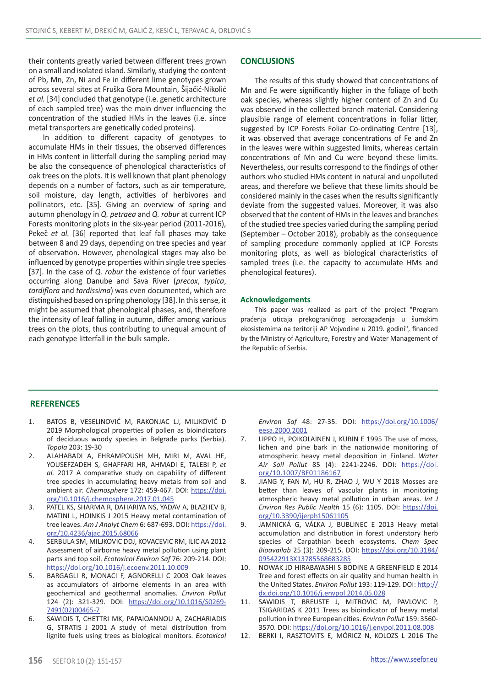their contents greatly varied between different trees grown on a small and isolated island. Similarly, studying the content of Pb, Mn, Zn, Ni and Fe in different lime genotypes grown across several sites at Fruška Gora Mountain, Šijačić-Nikolić *et al.* [34] concluded that genotype (i.e. genetic architecture of each sampled tree) was the main driver influencing the concentration of the studied HMs in the leaves (i.e. since metal transporters are genetically coded proteins).

In addition to different capacity of genotypes to accumulate HMs in their tissues, the observed differences in HMs content in litterfall during the sampling period may be also the consequence of phenological characteristics of oak trees on the plots. It is well known that plant phenology depends on a number of factors, such as air temperature, soil moisture, day length, activities of herbivores and pollinators, etc. [35]. Giving an overview of spring and autumn phenology in *Q. petraea* and *Q. robur* at current ICP Forests monitoring plots in the six-year period (2011-2016), Pekeč *et al.* [36] reported that leaf fall phases may take between 8 and 29 days, depending on tree species and year of observation. However, phenological stages may also be influenced by genotype properties within single tree species [37]. In the case of *Q. robur* the existence of four varieties occurring along Danube and Sava River (*precox*, *typica*, *tardiflora* and *tardissima*) was even documented, which are distinguished based on spring phenology [38]. In this sense, it might be assumed that phenological phases, and, therefore the intensity of leaf falling in autumn, differ among various trees on the plots, thus contributing to unequal amount of each genotype litterfall in the bulk sample.

## **CONCLUSIONS**

The results of this study showed that concentrations of Mn and Fe were significantly higher in the foliage of both oak species, whereas slightly higher content of Zn and Cu was observed in the collected branch material. Considering plausible range of element concentrations in foliar litter, suggested by ICP Forests Foliar Co-ordinating Centre [13], it was observed that average concentrations of Fe and Zn in the leaves were within suggested limits, whereas certain concentrations of Mn and Cu were beyond these limits. Nevertheless, our results correspond to the findings of other authors who studied HMs content in natural and unpolluted areas, and therefore we believe that these limits should be considered mainly in the cases when the results significantly deviate from the suggested values. Moreover, it was also observed that the content of HMs in the leaves and branches of the studied tree species varied during the sampling period (September – October 2018), probably as the consequence of sampling procedure commonly applied at ICP Forests monitoring plots, as well as biological characteristics of sampled trees (i.e. the capacity to accumulate HMs and phenological features).

#### **Acknowledgements**

This paper was realized as part of the project "Program praćenja uticaja prekograničnog aerozagađenja u šumskim ekosistemima na teritoriji AP Vojvodine u 2019. godini", financed by the Ministry of Agriculture, Forestry and Water Management of the Republic of Serbia.

#### **REFERENCES**

- 1. BATOS B, VESELINOVIĆ M, RAKONJAC LJ, MILJKOVIĆ D 2019 Morphological properties of pollen as bioindicators of deciduous woody species in Belgrade parks (Serbia). *Topola* 203: 19-30
- 2. ALAHABADI A, EHRAMPOUSH MH, MIRI M, AVAL HE, YOUSEFZADEH S, GHAFFARI HR, AHMADI E, TALEBI P, *et al.* 2017 A comparative study on capability of different tree species in accumulating heavy metals from soil and ambient air. *Chemosphere* 172: 459-467. DOI: [https://doi.](https://doi.org/10.1016/j.chemosphere.2017.01.045) [org/10.1016/j.chemosphere.2017.01.045](https://doi.org/10.1016/j.chemosphere.2017.01.045)
- 3. PATEL KS, SHARMA R, DAHARIYA NS, YADAV A, BLAZHEV B, MATINI L, HOINKIS J 2015 Heavy metal contamination of tree leaves. *Am J Analyt Chem* 6: 687-693. DOI: [https://doi.](https://doi.org/10.4236/ajac.2015.68066) [org/10.4236/ajac.2015.68066](https://doi.org/10.4236/ajac.2015.68066)
- 4. SERBULA SM, MILJKOVIC DDJ, KOVACEVIC RM, ILIC AA 2012 Assessment of airborne heavy metal pollution using plant parts and top soil. *Ecotoxicol Environ Saf* 76: 209-214. DOI: <https://doi.org/10.1016/j.ecoenv.2011.10.009>
- 5. BARGAGLI R, MONACI F, AGNORELLI C 2003 Oak leaves as accumulators of airborne elements in an area with geochemical and geothermal anomalies. *Environ Pollut*  124 (2): 321-329. DOI: [https://doi.org/10.1016/S0269-](https://doi.org/10.1016/S0269-7491(02)00465-7) [7491\(02\)00465-7](https://doi.org/10.1016/S0269-7491(02)00465-7)
- 6. SAWIDIS T, CHETTRI MK, PAPAIOANNOU A, ZACHARIADIS G, STRATIS J 2001 A study of metal distribution from lignite fuels using trees as biological monitors. *Ecotoxicol*

*Environ Saf* 48: 27-35. DOI: [https://doi.org/10.1006/](https://doi.org/10.1006/eesa.2000.2001) [eesa.2000.2001](https://doi.org/10.1006/eesa.2000.2001)

- 7. LIPPO H, POIKOLAINEN J, KUBIN E 1995 The use of moss, lichen and pine bark in the nationwide monitoring of atmospheric heavy metal deposition in Finland. *Water Air Soil Pollut* 85 (4): 2241-2246. DOI: [https://doi.](https://doi.org/10.1007/BF01186167) [org/10.1007/BF01186167](https://doi.org/10.1007/BF01186167)
- 8. JIANG Y, FAN M, HU R, ZHAO J, WU Y 2018 Mosses are better than leaves of vascular plants in monitoring atmospheric heavy metal pollution in urban areas. *Int J Environ Res Public Health* 15 (6): 1105. DOI: [https://doi.](https://doi.org/10.3390/ijerph15061105) [org/10.3390/ijerph15061105](https://doi.org/10.3390/ijerph15061105)
- 9. JAMNICKÁ G, VÁĽKA J, BUBLINEC E 2013 Heavy metal accumulation and distribution in forest understory herb species of Carpathian beech ecosystems. *Chem Spec Bioavailab* 25 (3): 209-215. DOI: [https://doi.org/10.3184/](https://doi.org/10.3184/095422913X13785568683285) [095422913X13785568683285](https://doi.org/10.3184/095422913X13785568683285)
- 10. NOWAK JD HIRABAYASHI S BODINE A GREENFIELD E 2014 Tree and forest effects on air quality and human health in the United States. *Environ Pollut* 193: 119-129. DOI: [http://](http://dx.doi.org/10.1016/j.envpol.2014.05.028) [dx.doi.org/10.1016/j.envpol.2014.05.028](http://dx.doi.org/10.1016/j.envpol.2014.05.028)
- 11. SAWIDIS T, BREUSTE J, MITROVIC M, PAVLOVIC P, TSIGARIDAS K 2011 Trees as bioindicator of heavy metal pollution in three European cities. *Environ Pollut* 159: 3560- 3570. DOI:<https://doi.org/10.1016/j.envpol.2011.08.008>
- 12. BERKI I, RASZTOVITS E, MÓRICZ N, KOLOZS L 2016 The